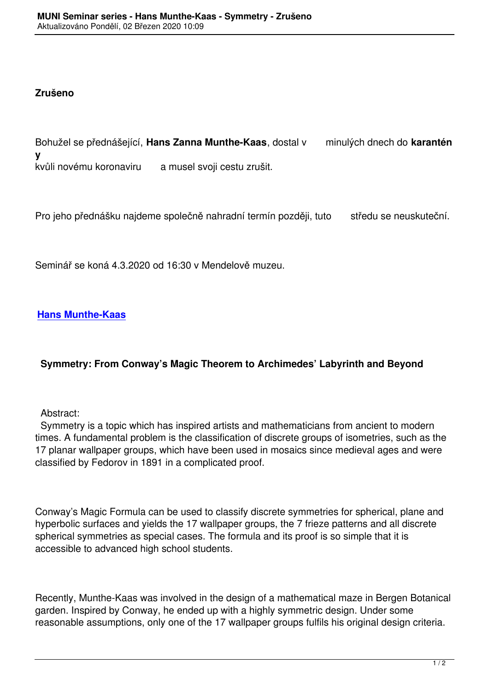## **Zrušeno**

Bohužel se přednášející, **Hans Zanna Munthe-Kaas**, dostal v minulých dnech do **karantén y** kvůli novému koronaviru a musel svoji cestu zrušit.

Pro jeho přednášku najdeme společně nahradní termín později, tuto středu se neuskuteční.

Seminář se koná 4.3.2020 od 16:30 v Mendelově muzeu.

## **Hans Munthe-Kaas**

## **[Symmetry: From C](https://seminarseries.muni.cz/mathematics-physics-computer-science/lectures/symmetry-from-conway-s-magic-theorem-to-archimedes-labyrinth-and-beyond)onway's Magic Theorem to Archimedes' Labyrinth and Beyond**

## Abstract:

 Symmetry is a topic which has inspired artists and mathematicians from ancient to modern times. A fundamental problem is the classification of discrete groups of isometries, such as the 17 planar wallpaper groups, which have been used in mosaics since medieval ages and were classified by Fedorov in 1891 in a complicated proof.

Conway's Magic Formula can be used to classify discrete symmetries for spherical, plane and hyperbolic surfaces and yields the 17 wallpaper groups, the 7 frieze patterns and all discrete spherical symmetries as special cases. The formula and its proof is so simple that it is accessible to advanced high school students.

Recently, Munthe-Kaas was involved in the design of a mathematical maze in Bergen Botanical garden. Inspired by Conway, he ended up with a highly symmetric design. Under some reasonable assumptions, only one of the 17 wallpaper groups fulfils his original design criteria.